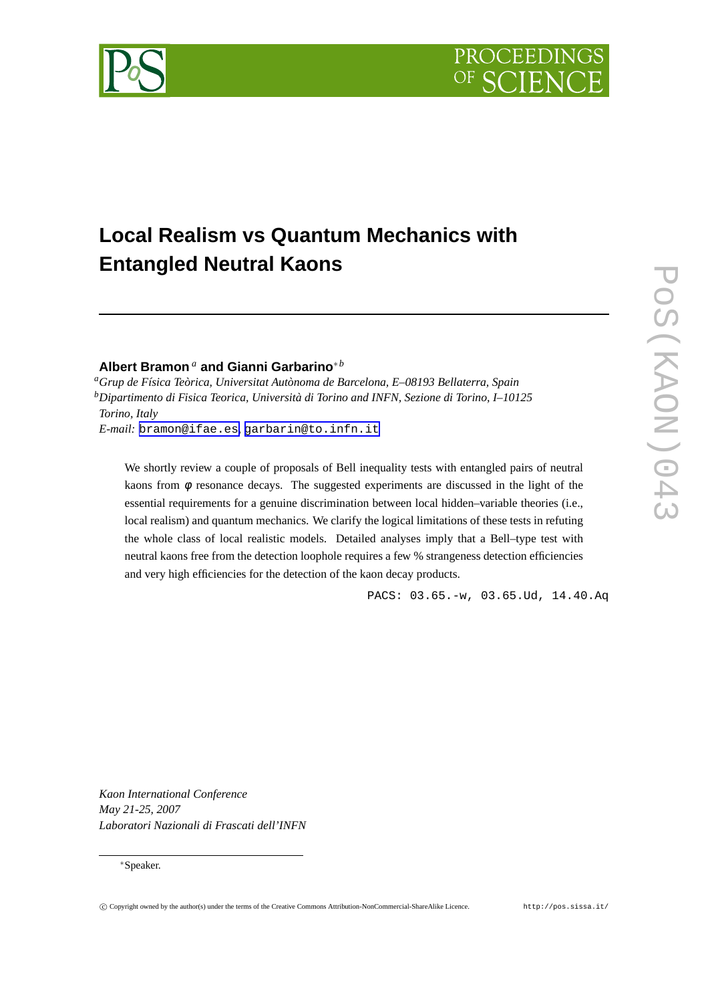# **Local Realism vs Quantum Mechanics with Entangled Neutral Kaons**

## **Albert Bramon** *<sup>a</sup>* **and Gianni Garbarino**∗*<sup>b</sup>*

*<sup>a</sup>Grup de Física Teòrica, Universitat Autònoma de Barcelona, E–08193 Bellaterra, Spain <sup>b</sup>Dipartimento di Fisica Teorica, Università di Torino and INFN, Sezione di Torino, I–10125 Torino, Italy*

*E-mail:* [bramon@ifae.es](mailto:bramon@ifae.es)*,* [garbarin@to.infn.it](mailto:garbarin@to.infn.it)

We shortly review a couple of proposals of Bell inequality tests with entangled pairs of neutral kaons from  $\phi$  resonance decays. The suggested experiments are discussed in the light of the essential requirements for a genuine discrimination between local hidden–variable theories (i.e., local realism) and quantum mechanics. We clarify the logical limitations of these tests in refuting the whole class of local realistic models. Detailed analyses imply that a Bell–type test with neutral kaons free from the detection loophole requires a few % strangeness detection efficiencies and very high efficiencies for the detection of the kaon decay products.

PACS: 03.65.-w, 03.65.Ud, 14.40.Aq

PROCEEDI

*Kaon International Conference May 21-25, 2007 Laboratori Nazionali di Frascati dell'INFN*

## ∗Speaker.

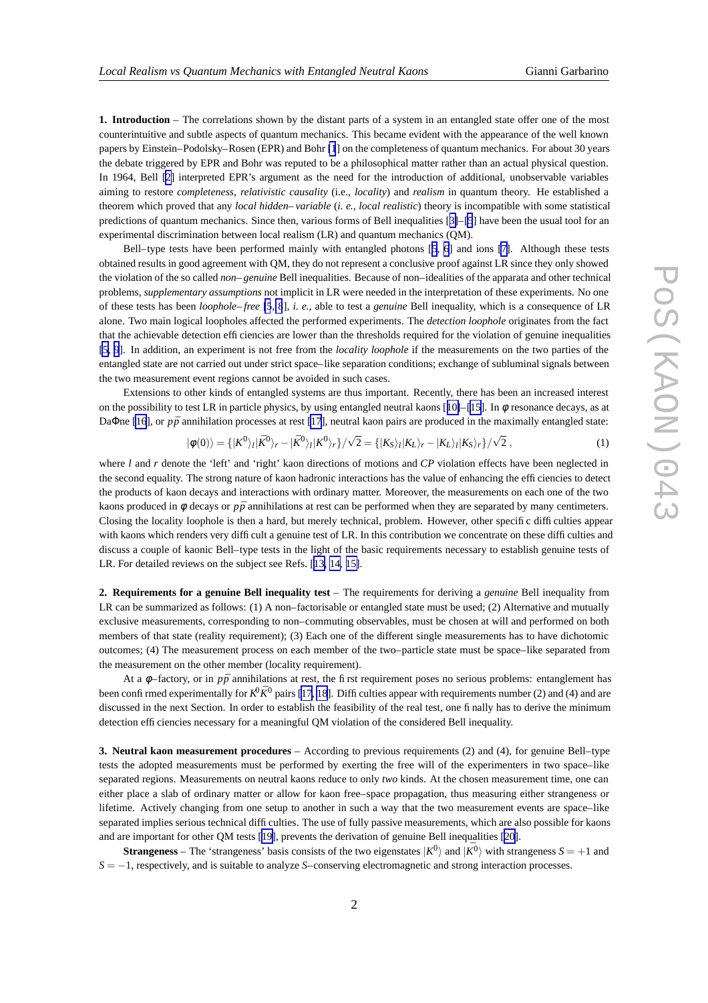<span id="page-1-0"></span>**1. Introduction** – The correlations shown by the distant parts of a system in an entangled state offer one of the most counterintuitive and subtle aspects of quantum mechanics. This became evident with the appearance of the well known papers by Einstein–Podolsky–Rosen (EPR) and Bohr [\[1](#page-3-0)] on the completeness of quantum mechanics. For about 30 years the debate triggered by EPR and Bohr was reputed to be a philosophical matter rather than an actual physical question. In 1964, Bell [\[2\]](#page-3-0) interpreted EPR's argument as the need for the introduction of additional, unobservable variables aiming to restore *completeness*, *relativistic causality* (i.e., *locality*) and *realism* in quantum theory. He established a theorem which proved that any *local hidden–variable* (*i. e.*, *local realistic*) theory is incompatible with some statistical predictions of quantum mechanics. Since then, various forms of Bell inequalities [[3\]](#page-3-0)–[\[5](#page-3-0)] have been the usual tool for an experimental discrimination between local realism (LR) and quantum mechanics (QM).

Bell–type tests have been performed mainly with entangled photons [[5](#page-3-0), [6](#page-3-0)] and ions [\[7\]](#page-3-0). Although these tests obtained results in good agreement with QM, they do not represent a conclusive proof against LR since they only showed the violation of the so called *non–genuine* Bell inequalities. Because of non–idealities of the apparata and other technical problems, *supplementary assumptions* not implicit in LR were needed in the interpretation of these experiments. No one of these tests has been *loophole–free* [\[5](#page-3-0), [8](#page-3-0)], *i. e.*, able to test a *genuine* Bell inequality, which is a consequence of LR alone. Two main logical loopholes affected the performed experiments. The *detection loophole* originates from the fact that the achievable detection efficiencies are lower than the thresholds required for the violation of genuine inequalities [\[5,](#page-3-0) [9](#page-3-0)]. In addition, an experiment is not free from the *locality loophole* if the measurements on the two parties of the entangled state are not carried out under strict space–like separation conditions; exchange of subluminal signals between the two measurement event regions cannot be avoided in such cases.

Extensions to other kinds of entangled systems are thus important. Recently, there has been an increased interest on the possibility to test LR in particle physics, by using entangled neutral kaons [[10\]](#page-4-0)–[\[15](#page-4-0)]. In  $\phi$  resonance decays, as at Da $\Phi$ ne [\[16](#page-4-0)], or  $p\bar{p}$  annihilation processes at rest [\[17](#page-4-0)], neutral kaon pairs are produced in the maximally entangled state:

$$
|\phi(0)\rangle = \{|K^0\rangle_l|\bar{K}^0\rangle_r - |\bar{K}^0\rangle_l|K^0\rangle_r\}/\sqrt{2} = \{|K_S\rangle_l|K_L\rangle_r - |K_L\rangle_l|K_S\rangle_r\}/\sqrt{2},\tag{1}
$$

where *l* and *r* denote the 'left' and 'right' kaon directions of motions and *CP* violation effects have been neglected in the second equality. The strong nature of kaon hadronic interactions has the value of enhancing the efficiencies to detect the products of kaon decays and interactions with ordinary matter. Moreover, the measurements on each one of the two kaons produced in  $\phi$  decays or  $p\bar{p}$  annihilations at rest can be performed when they are separated by many centimeters. Closing the locality loophole is then a hard, but merely technical, problem. However, other specific difficulties appear with kaons which renders very difficult a genuine test of LR. In this contribution we concentrate on these difficulties and discuss a couple of kaonic Bell–type tests in the light of the basic requirements necessary to establish genuine tests of LR. For detailed reviews on the subject see Refs. [[13,](#page-4-0) [14,](#page-4-0) [15\]](#page-4-0).

**2. Requirements for a genuine Bell inequality test** – The requirements for deriving a *genuine* Bell inequality from LR can be summarized as follows: (1) A non–factorisable or entangled state must be used; (2) Alternative and mutually exclusive measurements, corresponding to non–commuting observables, must be chosen at will and performed on both members of that state (reality requirement); (3) Each one of the different single measurements has to have dichotomic outcomes; (4) The measurement process on each member of the two–particle state must be space–like separated from the measurement on the other member (locality requirement).

At a  $\phi$ –factory, or in  $p\bar{p}$  annihilations at rest, the first requirement poses no serious problems: entanglement has been confirmed experimentally for  $K^0 \bar{K}^0$  pairs [\[17](#page-4-0), [18](#page-4-0)]. Difficulties appear with requirements number (2) and (4) and are discussed in the next Section. In order to establish the feasibility of the real test, one finally has to derive the minimum detection efficiencies necessary for a meaningful QM violation of the considered Bell inequality.

**3. Neutral kaon measurement procedures** – According to previous requirements (2) and (4), for genuine Bell–type tests the adopted measurements must be performed by exerting the free will of the experimenters in two space–like separated regions. Measurements on neutral kaons reduce to only *two* kinds. At the chosen measurement time, one can either place a slab of ordinary matter or allow for kaon free–space propagation, thus measuring either strangeness or lifetime. Actively changing from one setup to another in such a way that the two measurement events are space–like separated implies serious technical difficulties. The use of fully passive measurements, which are also possible for kaons and are important for other QM tests [[19\]](#page-4-0), prevents the derivation of genuine Bell inequalities [[20\]](#page-4-0).

**Strangeness** – The 'strangeness' basis consists of the two eigenstates  $|K^0\rangle$  and  $|K^0\rangle$  with strangeness  $S = +1$  and *S* = −1, respectively, and is suitable to analyze *S*–conserving electromagnetic and strong interaction processes.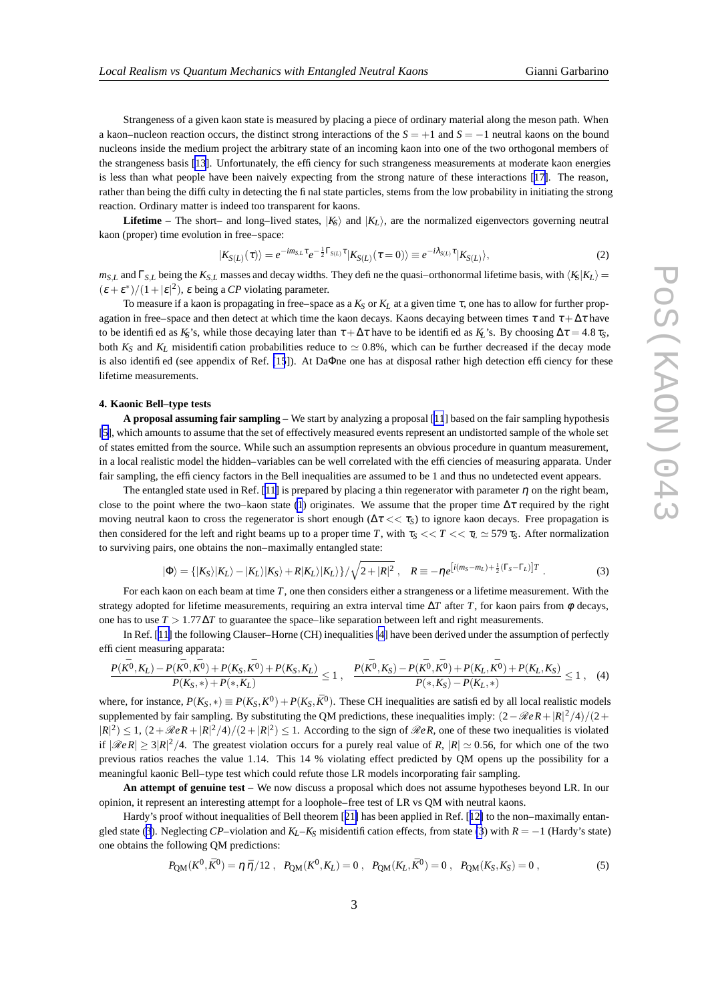<span id="page-2-0"></span>Strangeness of a given kaon state is measured by placing a piece of ordinary material along the meson path. When a kaon–nucleon reaction occurs, the distinct strong interactions of the *S* = +1 and *S* = −1 neutral kaons on the bound nucleons inside the medium project the arbitrary state of an incoming kaon into one of the two orthogonal members of the strangeness basis [\[13](#page-4-0)]. Unfortunately, the efficiency for such strangeness measurements at moderate kaon energies is less than what people have been naively expecting from the strong nature of these interactions [[17\]](#page-4-0). The reason, rather than being the difficulty in detecting the final state particles, stems from the low probability in initiating the strong reaction. Ordinary matter is indeed too transparent for kaons.

**Lifetime** – The short– and long–lived states,  $|K_f\rangle$  and  $|K_f\rangle$ , are the normalized eigenvectors governing neutral kaon (proper) time evolution in free–space:

$$
|K_{S(L)}(\tau)\rangle = e^{-im_{S,L}\tau}e^{-\frac{1}{2}\Gamma_{S(L)}\tau}|K_{S(L)}(\tau=0)\rangle \equiv e^{-i\lambda_{S(L)}\tau}|K_{S(L)}\rangle, \tag{2}
$$

 $m_{S,L}$  and  $\Gamma_{S,L}$  being the  $K_{S,L}$  masses and decay widths. They define the quasi–orthonormal lifetime basis, with  $\langle K_S | K_L \rangle$  =  $(\varepsilon + \varepsilon^*)/(1+|\varepsilon|^2)$ ,  $\varepsilon$  being a *CP* violating parameter.

To measure if a kaon is propagating in free–space as a  $K_S$  or  $K_L$  at a given time  $\tau$ , one has to allow for further propagation in free–space and then detect at which time the kaon decays. Kaons decaying between times  $\tau$  and  $\tau + \Delta \tau$  have to be identified as  $K_S$ 's, while those decaying later than  $\tau + \Delta \tau$  have to be identified as  $K_L$ 's. By choosing  $\Delta \tau = 4.8 \tau_S$ , both  $K_S$  and  $K_L$  misidentification probabilities reduce to  $\simeq 0.8\%$ , which can be further decreased if the decay mode is also identified (see appendix of Ref. [\[15](#page-4-0)]). At DaΦne one has at disposal rather high detection efficiency for these lifetime measurements.

#### **4. Kaonic Bell–type tests**

**A proposal assuming fair sampling** – We start by analyzing a proposal [[11](#page-4-0)] based on the fair sampling hypothesis [\[5\]](#page-3-0), which amounts to assume that the set of effectively measured events represent an undistorted sample of the whole set of states emitted from the source. While such an assumption represents an obvious procedure in quantum measurement, in a local realistic model the hidden–variables can be well correlated with the efficiencies of measuring apparata. Under fair sampling, the efficiency factors in the Bell inequalities are assumed to be 1 and thus no undetected event appears.

The entangled state used in Ref. [[11\]](#page-4-0) is prepared by placing a thin regenerator with parameter  $\eta$  on the right beam, close to the point where the two–kaon state [\(1](#page-1-0)) originates. We assume that the proper time  $\Delta \tau$  required by the right moving neutral kaon to cross the regenerator is short enough  $(\Delta \tau << \tau_S)$  to ignore kaon decays. Free propagation is then considered for the left and right beams up to a proper time *T*, with  $\tau_S \ll T \ll \tau_L \approx 579 \tau_S$ . After normalization to surviving pairs, one obtains the non–maximally entangled state:

$$
|\Phi\rangle = \{|K_S\rangle|K_L\rangle - |K_L\rangle|K_S\rangle + R|K_L\rangle|K_L\rangle\}/\sqrt{2+|R|^2}, \quad R \equiv -\eta e^{\left[i(m_S - m_L) + \frac{1}{2}(\Gamma_S - \Gamma_L)\right]T}.
$$
 (3)

For each kaon on each beam at time *T*, one then considers either a strangeness or a lifetime measurement. With the strategy adopted for lifetime measurements, requiring an extra interval time ∆*T* after *T*, for kaon pairs from φ decays, one has to use  $T > 1.77 \Delta T$  to guarantee the space–like separation between left and right measurements.

In Ref. [[11\]](#page-4-0) the following Clauser–Horne (CH) inequalities [\[4](#page-3-0)] have been derived under the assumption of perfectly efficient measuring apparata:

$$
\frac{P(\bar{K^0}, K_L) - P(\bar{K^0}, \bar{K^0}) + P(K_S, \bar{K^0}) + P(K_S, K_L)}{P(K_S, *) + P(*, K_L)} \le 1 \ , \quad \frac{P(\bar{K^0}, K_S) - P(\bar{K^0}, \bar{K^0}) + P(K_L, \bar{K^0}) + P(K_L, K_S)}{P(*, K_S) - P(K_L, *)} \le 1 \ , \quad (4)
$$

where, for instance,  $P(K_S, *) \equiv P(K_S, K^0) + P(K_S, \bar{K}^0)$ . These CH inequalities are satisfied by all local realistic models supplemented by fair sampling. By substituting the QM predictions, these inequalities imply:  $(2-\Re eR+|R|^2/4)/(2+\Re eR)$  $|R|^2 \leq 1$ ,  $\frac{(2 + \Re eR + |R|^2/4)}{(2 + |R|^2)} \leq 1$ . According to the sign of  $\Re R$ , one of these two inequalities is violated if  $|\Re eR| \ge 3|R|^2/4$ . The greatest violation occurs for a purely real value of *R*,  $|R| \simeq 0.56$ , for which one of the two previous ratios reaches the value 1.14. This 14 % violating effect predicted by QM opens up the possibility for a meaningful kaonic Bell–type test which could refute those LR models incorporating fair sampling.

**An attempt of genuine test** – We now discuss a proposal which does not assume hypotheses beyond LR. In our opinion, it represent an interesting attempt for a loophole–free test of LR vs QM with neutral kaons.

Hardy's proof without inequalities of Bell theorem [[21\]](#page-4-0) has been applied in Ref. [[12\]](#page-4-0) to the non–maximally entangled state (3). Neglecting *CP*–violation and  $K_L - K_S$  misidentification effects, from state (3) with  $R = -1$  (Hardy's state) one obtains the following QM predictions:

$$
P_{\text{QM}}(K^0, \bar{K}^0) = \eta \bar{\eta}/12 \,, \quad P_{\text{QM}}(K^0, K_L) = 0 \,, \quad P_{\text{QM}}(K_L, \bar{K}^0) = 0 \,, \quad P_{\text{QM}}(K_S, K_S) = 0 \,, \tag{5}
$$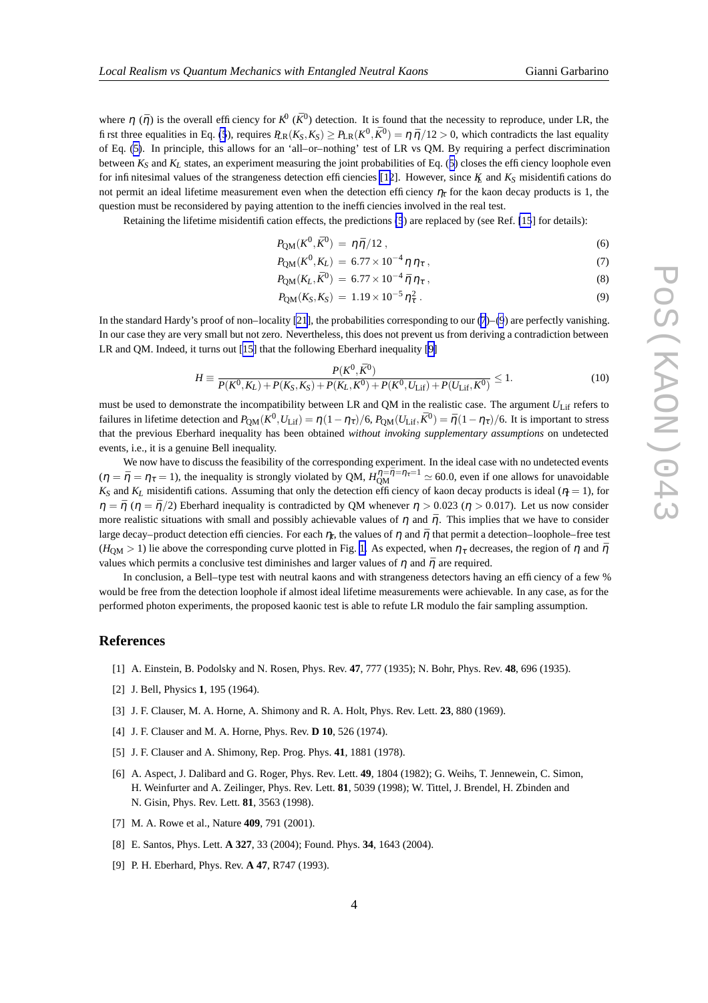<span id="page-3-0"></span>where  $\eta$  ( $\bar{\eta}$ ) is the overall efficiency for  $K^0$  ( $\bar{K}^0$ ) detection. It is found that the necessity to reproduce, under LR, the first three equalities in Eq. [\(5](#page-2-0)), requires  $R_R(K_S, K_S) \ge P_{LR}(K^0, \bar{K}^0) = \eta \bar{\eta}/12 > 0$ , which contradicts the last equality of Eq. [\(5\)](#page-2-0). In principle, this allows for an 'all–or–nothing' test of LR vs QM. By requiring a perfect discrimination between  $K_S$  and  $K_L$  states, an experiment measuring the joint probabilities of Eq. ([5\)](#page-2-0) closes the efficiency loophole even for infinitesimal values of the strangeness detection efficiencies [\[12](#page-4-0)]. However, since  $K$  and  $K_S$  misidentifications do not permit an ideal lifetime measurement even when the detection efficiency  $\eta_r$  for the kaon decay products is 1, the question must be reconsidered by paying attention to the inefficiencies involved in the real test.

Retaining the lifetime misidentification effects, the predictions [\(5](#page-2-0)) are replaced by (see Ref. [\[15](#page-4-0)] for details):

$$
P_{\text{QM}}(K^0, \bar{K}^0) = \eta \bar{\eta}/12 \,, \tag{6}
$$

$$
P_{\text{QM}}(K^0, K_L) = 6.77 \times 10^{-4} \eta \eta_\tau , \qquad (7)
$$

$$
P_{\text{QM}}(K_L, \bar{K}^0) = 6.77 \times 10^{-4} \bar{\eta} \eta_{\tau} , \qquad (8)
$$

$$
P_{\text{QM}}(K_{\text{S}}, K_{\text{S}}) = 1.19 \times 10^{-5} \eta_{\tau}^{2} \,. \tag{9}
$$

In the standard Hardy's proof of non–locality [\[21](#page-4-0)], the probabilities corresponding to our  $(7)$ – $(9)$  are perfectly vanishing. In our case they are very small but not zero. Nevertheless, this does not prevent us from deriving a contradiction between LR and QM. Indeed, it turns out [[15\]](#page-4-0) that the following Eberhard inequality [9]

$$
H \equiv \frac{P(K^0, \bar{K}^0)}{P(K^0, K_L) + P(K_S, K_S) + P(K_L, \bar{K}^0) + P(K^0, U_{\text{Lif}}) + P(U_{\text{Lif}}, \bar{K}^0)} \le 1. \tag{10}
$$

must be used to demonstrate the incompatibility between LR and QM in the realistic case. The argument *U*<sub>Lif</sub> refers to failures in lifetime detection and  $P_{QM}(K^0, U_{\text{Lif}}) = \eta(1 - \eta_{\tau})/6$ ,  $P_{QM}(U_{\text{Lif}}, \bar{K}^0) = \bar{\eta}(1 - \eta_{\tau})/6$ . It is important to stress that the previous Eberhard inequality has been obtained *without invoking supplementary assumptions* on undetected events, i.e., it is a genuine Bell inequality.

We now have to discuss the feasibility of the corresponding experiment. In the ideal case with no undetected events  $(\eta = \bar{\eta} = \eta_{\tau} = 1)$ , the inequality is strongly violated by QM,  $H_{\text{QM}}^{\eta = \bar{\eta} = \eta_{\tau} = 1} \approx 60.0$ , even if one allows for unavoidable  $K_S$  and  $K_L$  misidentifications. Assuming that only the detection efficiency of kaon decay products is ideal ( $\eta = 1$ ), for  $\eta = \bar{\eta}$  ( $\eta = \bar{\eta}/2$ ) Eberhard inequality is contradicted by QM whenever  $\eta > 0.023$  ( $\eta > 0.017$ ). Let us now consider more realistic situations with small and possibly achievable values of  $\eta$  and  $\bar{\eta}$ . This implies that we have to consider large decay–product detection efficiencies. For each  $\eta_t$ , the values of  $\eta$  and  $\bar{\eta}$  that permit a detection–loophole–free test  $(H<sub>OM</sub> > 1)$  lie above the corresponding curve plotted in Fig. [1.](#page-4-0) As expected, when  $\eta<sub>\tau</sub>$  decreases, the region of  $\eta$  and  $\bar{\eta}$ values which permits a conclusive test diminishes and larger values of  $\eta$  and  $\bar{\eta}$  are required.

In conclusion, a Bell–type test with neutral kaons and with strangeness detectors having an efficiency of a few % would be free from the detection loophole if almost ideal lifetime measurements were achievable. In any case, as for the performed photon experiments, the proposed kaonic test is able to refute LR modulo the fair sampling assumption.

### **References**

- [1] A. Einstein, B. Podolsky and N. Rosen, Phys. Rev. **47**, 777 (1935); N. Bohr, Phys. Rev. **48**, 696 (1935).
- [2] J. Bell, Physics **1**, 195 (1964).
- [3] J. F. Clauser, M. A. Horne, A. Shimony and R. A. Holt, Phys. Rev. Lett. **23**, 880 (1969).
- [4] J. F. Clauser and M. A. Horne, Phys. Rev. **D 10**, 526 (1974).
- [5] J. F. Clauser and A. Shimony, Rep. Prog. Phys. **41**, 1881 (1978).
- [6] A. Aspect, J. Dalibard and G. Roger, Phys. Rev. Lett. **49**, 1804 (1982); G. Weihs, T. Jennewein, C. Simon, H. Weinfurter and A. Zeilinger, Phys. Rev. Lett. **81**, 5039 (1998); W. Tittel, J. Brendel, H. Zbinden and N. Gisin, Phys. Rev. Lett. **81**, 3563 (1998).
- [7] M. A. Rowe et al., Nature **409**, 791 (2001).
- [8] E. Santos, Phys. Lett. **A 327**, 33 (2004); Found. Phys. **34**, 1643 (2004).
- [9] P. H. Eberhard, Phys. Rev. **A 47**, R747 (1993).